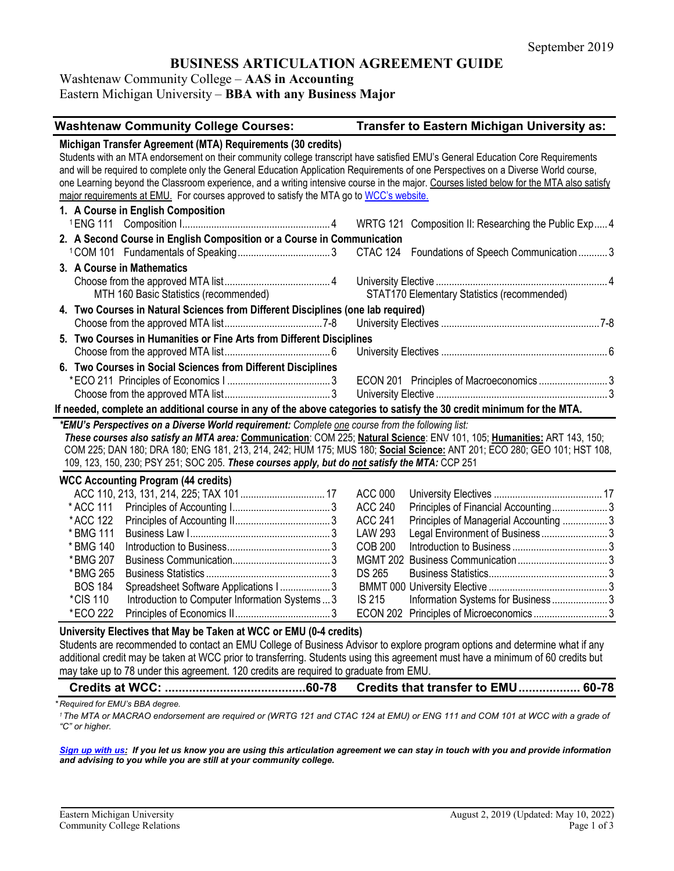# **BUSINESS ARTICULATION AGREEMENT GUIDE**

Washtenaw Community College – **AAS in Accounting** Eastern Michigan University – **BBA with any Business Major**

| <b>Washtenaw Community College Courses:</b>                                                                                                                                                                                                                                                                                                                                                                                                                                                                                                                                  | Transfer to Eastern Michigan University as:                                                                  |  |  |  |
|------------------------------------------------------------------------------------------------------------------------------------------------------------------------------------------------------------------------------------------------------------------------------------------------------------------------------------------------------------------------------------------------------------------------------------------------------------------------------------------------------------------------------------------------------------------------------|--------------------------------------------------------------------------------------------------------------|--|--|--|
| Michigan Transfer Agreement (MTA) Requirements (30 credits)<br>Students with an MTA endorsement on their community college transcript have satisfied EMU's General Education Core Requirements<br>and will be required to complete only the General Education Application Requirements of one Perspectives on a Diverse World course,<br>one Learning beyond the Classroom experience, and a writing intensive course in the major. Courses listed below for the MTA also satisfy<br>major requirements at EMU. For courses approved to satisfy the MTA go to WCC's website. |                                                                                                              |  |  |  |
| 1. A Course in English Composition                                                                                                                                                                                                                                                                                                                                                                                                                                                                                                                                           | WRTG 121 Composition II: Researching the Public Exp4                                                         |  |  |  |
| 2. A Second Course in English Composition or a Course in Communication                                                                                                                                                                                                                                                                                                                                                                                                                                                                                                       | CTAC 124 Foundations of Speech Communication 3                                                               |  |  |  |
| 3. A Course in Mathematics<br>MTH 160 Basic Statistics (recommended)                                                                                                                                                                                                                                                                                                                                                                                                                                                                                                         | STAT170 Elementary Statistics (recommended)                                                                  |  |  |  |
| 4. Two Courses in Natural Sciences from Different Disciplines (one lab required)                                                                                                                                                                                                                                                                                                                                                                                                                                                                                             |                                                                                                              |  |  |  |
| 5. Two Courses in Humanities or Fine Arts from Different Disciplines                                                                                                                                                                                                                                                                                                                                                                                                                                                                                                         |                                                                                                              |  |  |  |
|                                                                                                                                                                                                                                                                                                                                                                                                                                                                                                                                                                              |                                                                                                              |  |  |  |
| 6. Two Courses in Social Sciences from Different Disciplines                                                                                                                                                                                                                                                                                                                                                                                                                                                                                                                 |                                                                                                              |  |  |  |
|                                                                                                                                                                                                                                                                                                                                                                                                                                                                                                                                                                              | ECON 201 Principles of Macroeconomics 3                                                                      |  |  |  |
|                                                                                                                                                                                                                                                                                                                                                                                                                                                                                                                                                                              |                                                                                                              |  |  |  |
| If needed, complete an additional course in any of the above categories to satisfy the 30 credit minimum for the MTA.                                                                                                                                                                                                                                                                                                                                                                                                                                                        |                                                                                                              |  |  |  |
| *EMU's Perspectives on a Diverse World requirement: Complete one course from the following list:<br>These courses also satisfy an MTA area: Communication: COM 225; Natural Science: ENV 101, 105; Humanities: ART 143, 150;<br>COM 225; DAN 180; DRA 180; ENG 181, 213, 214, 242; HUM 175; MUS 180; Social Science: ANT 201; ECO 280; GEO 101; HST 108,<br>109, 123, 150, 230; PSY 251; SOC 205. These courses apply, but do not satisfy the MTA: CCP 251                                                                                                                   |                                                                                                              |  |  |  |
| <b>WCC Accounting Program (44 credits)</b>                                                                                                                                                                                                                                                                                                                                                                                                                                                                                                                                   |                                                                                                              |  |  |  |
|                                                                                                                                                                                                                                                                                                                                                                                                                                                                                                                                                                              | <b>ACC 000</b>                                                                                               |  |  |  |
| * ACC 111                                                                                                                                                                                                                                                                                                                                                                                                                                                                                                                                                                    | <b>ACC 240</b><br>Principles of Financial Accounting3                                                        |  |  |  |
| *ACC 122<br>* BMG 111                                                                                                                                                                                                                                                                                                                                                                                                                                                                                                                                                        | <b>ACC 241</b><br>Principles of Managerial Accounting  3<br><b>LAW 293</b><br>Legal Environment of Business3 |  |  |  |
| * BMG 140                                                                                                                                                                                                                                                                                                                                                                                                                                                                                                                                                                    | <b>COB 200</b>                                                                                               |  |  |  |
| *BMG 207                                                                                                                                                                                                                                                                                                                                                                                                                                                                                                                                                                     |                                                                                                              |  |  |  |
| *BMG 265                                                                                                                                                                                                                                                                                                                                                                                                                                                                                                                                                                     | <b>DS 265</b>                                                                                                |  |  |  |
| <b>BOS 184</b><br>Spreadsheet Software Applications I 3                                                                                                                                                                                                                                                                                                                                                                                                                                                                                                                      |                                                                                                              |  |  |  |
| *CIS 110<br>Introduction to Computer Information Systems  3                                                                                                                                                                                                                                                                                                                                                                                                                                                                                                                  | <b>IS 215</b><br>Information Systems for Business 3                                                          |  |  |  |
| *ECO 222                                                                                                                                                                                                                                                                                                                                                                                                                                                                                                                                                                     |                                                                                                              |  |  |  |
| University Electives that May be Taken at WCC or EMU (0-4 credits)<br>Students are recommended to contact an EMU College of Business Advisor to explore program options and determine what if any<br>additional credit may be taken at WCC prior to transferring. Students using this agreement must have a minimum of 60 credits but<br>may take up to 78 under this agreement. 120 credits are required to graduate from EMU.                                                                                                                                              |                                                                                                              |  |  |  |

**Credits at WCC: .........................................60-78 Credits that transfer to EMU.................. 60-78**

*\* Required for EMU's BBA degree.*

<sup>1</sup> The MTA or MACRAO endorsement are required or (WRTG 121 and CTAC 124 at EMU) or ENG 111 and COM 101 at WCC with a grade of *"C" or higher.*

*[Sign up with us:](https://www.emich.edu/ccr/articulation-agreements/signup.php) If you let us know you are using this articulation agreement we can stay in touch with you and provide information and advising to you while you are still at your community college.*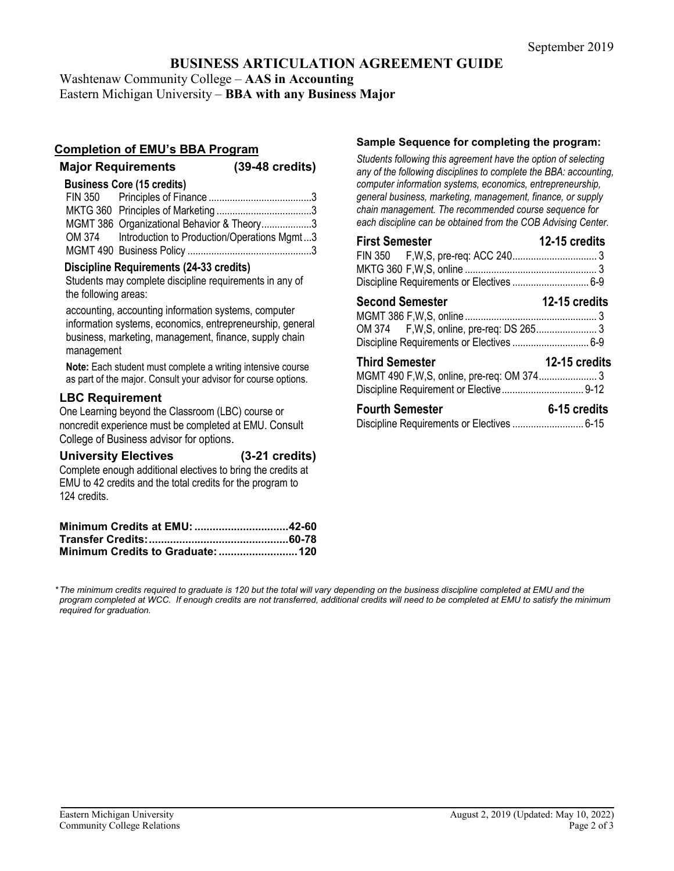# **BUSINESS ARTICULATION AGREEMENT GUIDE**

Washtenaw Community College – **AAS in Accounting**

Eastern Michigan University – **BBA with any Business Major**

## **Completion of EMU's BBA Program**

**Major Requirements (39-48 credits)**

## **Business Core (15 credits)**

| MGMT 386 Organizational Behavior & Theory3         |
|----------------------------------------------------|
| OM 374 Introduction to Production/Operations Mgmt3 |
|                                                    |

## **Discipline Requirements (24-33 credits)**

Students may complete discipline requirements in any of the following areas:

accounting, accounting information systems, computer information systems, economics, entrepreneurship, general business, marketing, management, finance, supply chain management

**Note:** Each student must complete a writing intensive course as part of the major. Consult your advisor for course options.

## **LBC Requirement**

One Learning beyond the Classroom (LBC) course or noncredit experience must be completed at EMU. Consult College of Business advisor for options.

## **University Electives (3-21 credits)**

Complete enough additional electives to bring the credits at EMU to 42 credits and the total credits for the program to 124 credits.

## **Sample Sequence for completing the program:**

*Students following this agreement have the option of selecting any of the following disciplines to complete the BBA: accounting, computer information systems, economics, entrepreneurship, general business, marketing, management, finance, or supply chain management. The recommended course sequence for each discipline can be obtained from the COB Advising Center.* 

| <b>First Semester</b>                     | 12-15 credits |
|-------------------------------------------|---------------|
|                                           |               |
|                                           |               |
|                                           |               |
|                                           |               |
| <b>Second Semester</b>                    | 12-15 credits |
|                                           |               |
|                                           |               |
| Discipline Requirements or Electives  6-9 |               |

| <b>Third Semester</b> | 12-15 credits |
|-----------------------|---------------|
|                       |               |
|                       |               |

| <b>Fourth Semester</b> | 6-15 credits |
|------------------------|--------------|
|                        |              |

*\*The minimum credits required to graduate is 120 but the total will vary depending on the business discipline completed at EMU and the program completed at WCC. If enough credits are not transferred, additional credits will need to be completed at EMU to satisfy the minimum required for graduation.*